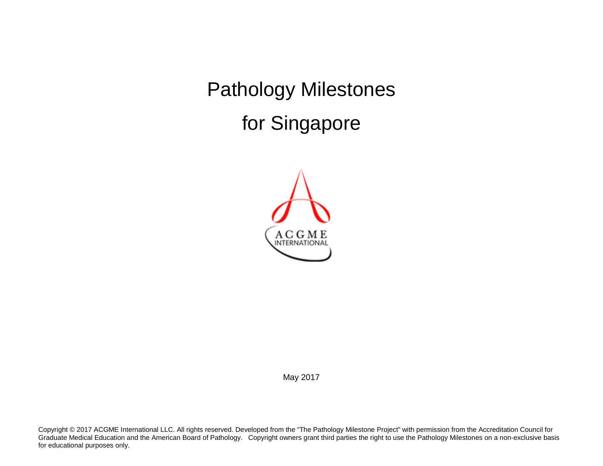Pathology Milestones for Singapore



May 2017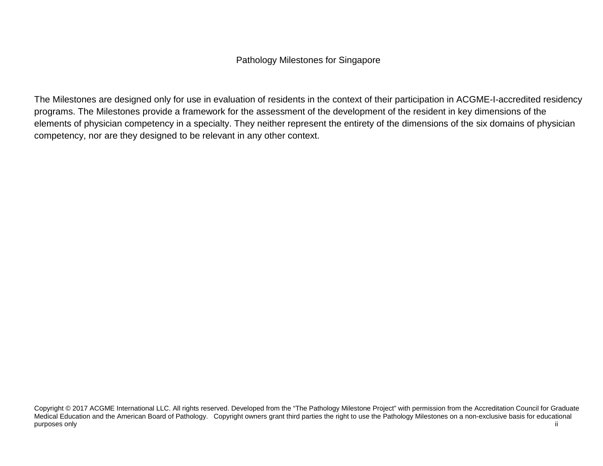## Pathology Milestones for Singapore

The Milestones are designed only for use in evaluation of residents in the context of their participation in ACGME-I-accredited residency programs. The Milestones provide a framework for the assessment of the development of the resident in key dimensions of the elements of physician competency in a specialty. They neither represent the entirety of the dimensions of the six domains of physician competency, nor are they designed to be relevant in any other context.

Copyright © 2017 ACGME International LLC. All rights reserved. Developed from the "The Pathology Milestone Project" with permission from the Accreditation Council for Graduate Medical Education and the American Board of Pathology. Copyright owners grant third parties the right to use the Pathology Milestones on a non-exclusive basis for educational purposes only and the control of the control of the control of the control of the control of the control of the control of the control of the control of the control of the control of the control of the control of the contr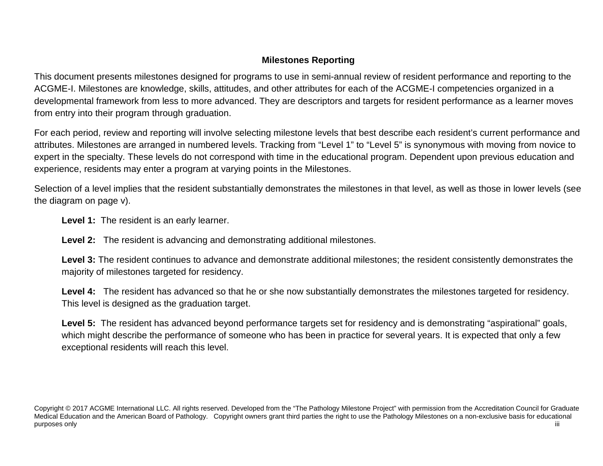# **Milestones Reporting**

This document presents milestones designed for programs to use in semi-annual review of resident performance and reporting to the ACGME-I. Milestones are knowledge, skills, attitudes, and other attributes for each of the ACGME-I competencies organized in a developmental framework from less to more advanced. They are descriptors and targets for resident performance as a learner moves from entry into their program through graduation.

For each period, review and reporting will involve selecting milestone levels that best describe each resident's current performance and attributes. Milestones are arranged in numbered levels. Tracking from "Level 1" to "Level 5" is synonymous with moving from novice to expert in the specialty. These levels do not correspond with time in the educational program. Dependent upon previous education and experience, residents may enter a program at varying points in the Milestones.

Selection of a level implies that the resident substantially demonstrates the milestones in that level, as well as those in lower levels (see the diagram on page v).

**Level 1:** The resident is an early learner.

**Level 2:** The resident is advancing and demonstrating additional milestones.

Level 3: The resident continues to advance and demonstrate additional milestones; the resident consistently demonstrates the majority of milestones targeted for residency.

Level 4: The resident has advanced so that he or she now substantially demonstrates the milestones targeted for residency. This level is designed as the graduation target.

Level 5: The resident has advanced beyond performance targets set for residency and is demonstrating "aspirational" goals, which might describe the performance of someone who has been in practice for several years. It is expected that only a few exceptional residents will reach this level.

Copyright © 2017 ACGME International LLC. All rights reserved. Developed from the "The Pathology Milestone Project" with permission from the Accreditation Council for Graduate Medical Education and the American Board of Pathology. Copyright owners grant third parties the right to use the Pathology Milestones on a non-exclusive basis for educational purposes only and the control of the control of the control of the control of the control of the control of the control of the control of the control of the control of the control of the control of the control of the contr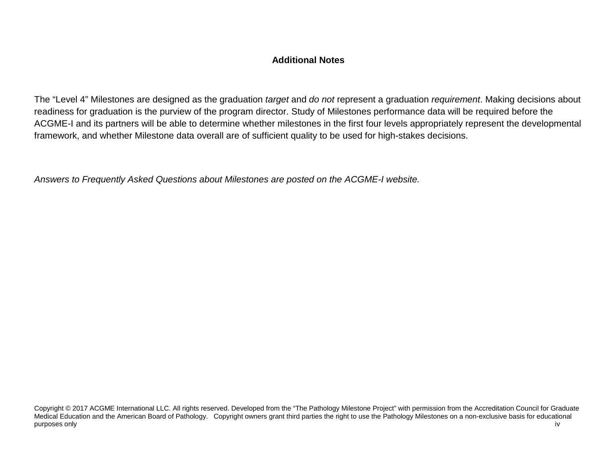## **Additional Notes**

The "Level 4" Milestones are designed as the graduation *target* and *do not* represent a graduation *requirement*. Making decisions about readiness for graduation is the purview of the program director. Study of Milestones performance data will be required before the ACGME-I and its partners will be able to determine whether milestones in the first four levels appropriately represent the developmental framework, and whether Milestone data overall are of sufficient quality to be used for high-stakes decisions.

*Answers to Frequently Asked Questions about Milestones are posted on the ACGME-I website.*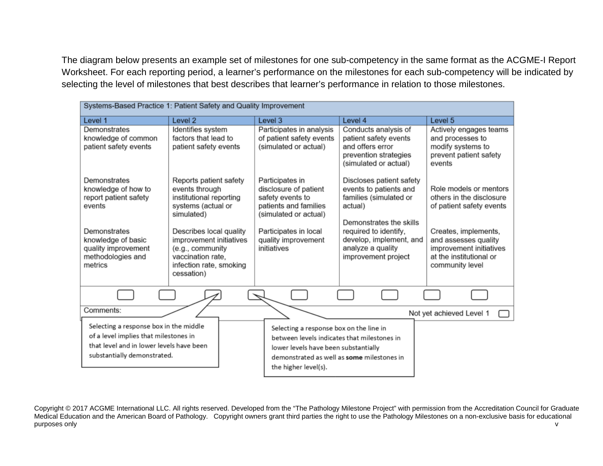The diagram below presents an example set of milestones for one sub-competency in the same format as the ACGME-I Report Worksheet. For each reporting period, a learner's performance on the milestones for each sub-competency will be indicated by selecting the level of milestones that best describes that learner's performance in relation to those milestones.

| Systems-Based Practice 1: Patient Safety and Quality Improvement                                                                                           |                                                                                                                                      |                                                                                                                                                                                                      |                                                                                                                     |                                                                                                                       |  |  |
|------------------------------------------------------------------------------------------------------------------------------------------------------------|--------------------------------------------------------------------------------------------------------------------------------------|------------------------------------------------------------------------------------------------------------------------------------------------------------------------------------------------------|---------------------------------------------------------------------------------------------------------------------|-----------------------------------------------------------------------------------------------------------------------|--|--|
| Level 1                                                                                                                                                    | Level <sub>2</sub>                                                                                                                   | Level 3                                                                                                                                                                                              | Level 4                                                                                                             | Level 5                                                                                                               |  |  |
| Demonstrates<br>knowledge of common<br>patient safety events                                                                                               | Identifies system<br>factors that lead to<br>patient safety events                                                                   | Participates in analysis<br>of patient safety events<br>(simulated or actual)                                                                                                                        | Conducts analysis of<br>patient safety events<br>and offers error<br>prevention strategies<br>(simulated or actual) | Actively engages teams<br>and processes to<br>modify systems to<br>prevent patient safety<br>events                   |  |  |
| Demonstrates<br>knowledge of how to<br>report patient safety<br>events                                                                                     | Reports patient safety<br>events through<br>institutional reporting<br>systems (actual or<br>simulated)                              | Participates in<br>disclosure of patient<br>safety events to<br>patients and families<br>(simulated or actual)                                                                                       | Discloses patient safety<br>events to patients and<br>families (simulated or<br>actual)<br>Demonstrates the skills  | Role models or mentors<br>others in the disclosure<br>of patient safety events                                        |  |  |
| Demonstrates<br>knowledge of basic<br>quality improvement<br>methodologies and<br>metrics                                                                  | Describes local quality<br>improvement initiatives<br>(e.g., community<br>vaccination rate,<br>infection rate, smoking<br>cessation) | Participates in local<br>quality improvement<br>initiatives                                                                                                                                          | required to identify,<br>develop, implement, and<br>analyze a quality<br>improvement project                        | Creates, implements,<br>and assesses quality<br>improvement initiatives<br>at the institutional or<br>community level |  |  |
|                                                                                                                                                            |                                                                                                                                      |                                                                                                                                                                                                      |                                                                                                                     |                                                                                                                       |  |  |
| Comments:                                                                                                                                                  |                                                                                                                                      |                                                                                                                                                                                                      |                                                                                                                     | Not yet achieved Level 1                                                                                              |  |  |
| Selecting a response box in the middle<br>of a level implies that milestones in<br>that level and in lower levels have been<br>substantially demonstrated. |                                                                                                                                      | Selecting a response box on the line in<br>between levels indicates that milestones in<br>lower levels have been substantially<br>demonstrated as well as some milestones in<br>the higher level(s). |                                                                                                                     |                                                                                                                       |  |  |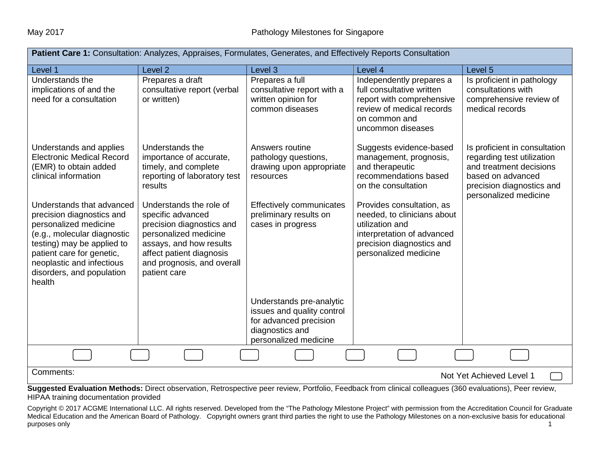| <b>Patient Care 1:</b> Consultation: Analyzes, Appraises, Formulates, Generates, and Effectively Reports Consultation                                                                                                                         |                                                                                                                                                                                                         |                                                                                                                              |                                                                                                                                                                 |                                                                                                                                                                   |  |  |
|-----------------------------------------------------------------------------------------------------------------------------------------------------------------------------------------------------------------------------------------------|---------------------------------------------------------------------------------------------------------------------------------------------------------------------------------------------------------|------------------------------------------------------------------------------------------------------------------------------|-----------------------------------------------------------------------------------------------------------------------------------------------------------------|-------------------------------------------------------------------------------------------------------------------------------------------------------------------|--|--|
| Level 1                                                                                                                                                                                                                                       | Level <sub>2</sub>                                                                                                                                                                                      | Level 3                                                                                                                      | Level 4                                                                                                                                                         | Level <sub>5</sub>                                                                                                                                                |  |  |
| Understands the<br>implications of and the<br>need for a consultation                                                                                                                                                                         | Prepares a draft<br>consultative report (verbal<br>or written)                                                                                                                                          | Prepares a full<br>consultative report with a<br>written opinion for<br>common diseases                                      | Independently prepares a<br>full consultative written<br>report with comprehensive<br>review of medical records<br>on common and<br>uncommon diseases           | Is proficient in pathology<br>consultations with<br>comprehensive review of<br>medical records                                                                    |  |  |
| Understands and applies<br><b>Electronic Medical Record</b><br>(EMR) to obtain added<br>clinical information                                                                                                                                  | Understands the<br>importance of accurate,<br>timely, and complete<br>reporting of laboratory test<br>results                                                                                           | Answers routine<br>pathology questions,<br>drawing upon appropriate<br>resources                                             | Suggests evidence-based<br>management, prognosis,<br>and therapeutic<br>recommendations based<br>on the consultation                                            | Is proficient in consultation<br>regarding test utilization<br>and treatment decisions<br>based on advanced<br>precision diagnostics and<br>personalized medicine |  |  |
| Understands that advanced<br>precision diagnostics and<br>personalized medicine<br>(e.g., molecular diagnostic<br>testing) may be applied to<br>patient care for genetic,<br>neoplastic and infectious<br>disorders, and population<br>health | Understands the role of<br>specific advanced<br>precision diagnostics and<br>personalized medicine<br>assays, and how results<br>affect patient diagnosis<br>and prognosis, and overall<br>patient care | Effectively communicates<br>preliminary results on<br>cases in progress                                                      | Provides consultation, as<br>needed, to clinicians about<br>utilization and<br>interpretation of advanced<br>precision diagnostics and<br>personalized medicine |                                                                                                                                                                   |  |  |
|                                                                                                                                                                                                                                               |                                                                                                                                                                                                         | Understands pre-analytic<br>issues and quality control<br>for advanced precision<br>diagnostics and<br>personalized medicine |                                                                                                                                                                 |                                                                                                                                                                   |  |  |
|                                                                                                                                                                                                                                               |                                                                                                                                                                                                         |                                                                                                                              |                                                                                                                                                                 |                                                                                                                                                                   |  |  |
| Comments:                                                                                                                                                                                                                                     |                                                                                                                                                                                                         |                                                                                                                              |                                                                                                                                                                 | Not Yet Achieved Level 1                                                                                                                                          |  |  |
| Suggested Evaluation Methods: Direct observation, Retrospective peer review, Portfolio, Feedback from clinical colleagues (360 evaluations), Peer review,                                                                                     |                                                                                                                                                                                                         |                                                                                                                              |                                                                                                                                                                 |                                                                                                                                                                   |  |  |

HIPAA training documentation provided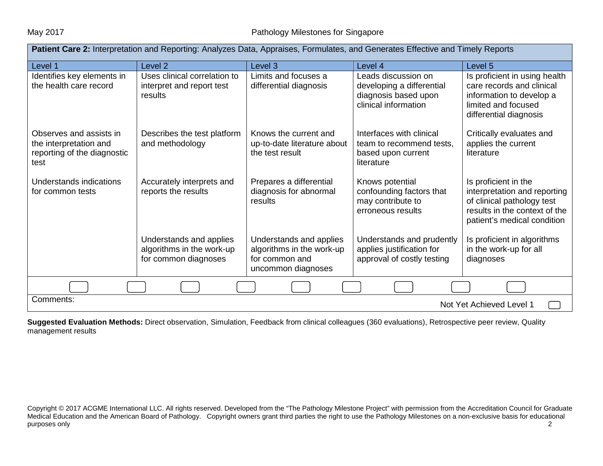| Patient Care 2: Interpretation and Reporting: Analyzes Data, Appraises, Formulates, and Generates Effective and Timely Reports |                                                                              |                                                                                              |                                                                                                  |                                                                                                                                                    |  |
|--------------------------------------------------------------------------------------------------------------------------------|------------------------------------------------------------------------------|----------------------------------------------------------------------------------------------|--------------------------------------------------------------------------------------------------|----------------------------------------------------------------------------------------------------------------------------------------------------|--|
| Level 1                                                                                                                        | Level <sub>2</sub>                                                           | Level <sub>3</sub>                                                                           | Level 4                                                                                          | Level 5                                                                                                                                            |  |
| Identifies key elements in<br>the health care record                                                                           | Uses clinical correlation to<br>interpret and report test<br>results         | Limits and focuses a<br>differential diagnosis                                               | Leads discussion on<br>developing a differential<br>diagnosis based upon<br>clinical information | Is proficient in using health<br>care records and clinical<br>information to develop a<br>limited and focused<br>differential diagnosis            |  |
| Observes and assists in<br>the interpretation and<br>reporting of the diagnostic<br>test                                       | Describes the test platform<br>and methodology                               | Knows the current and<br>up-to-date literature about<br>the test result                      | Interfaces with clinical<br>team to recommend tests,<br>based upon current<br>literature         | Critically evaluates and<br>applies the current<br>literature                                                                                      |  |
| Understands indications<br>for common tests                                                                                    | Accurately interprets and<br>reports the results                             | Prepares a differential<br>diagnosis for abnormal<br>results                                 | Knows potential<br>confounding factors that<br>may contribute to<br>erroneous results            | Is proficient in the<br>interpretation and reporting<br>of clinical pathology test<br>results in the context of the<br>patient's medical condition |  |
|                                                                                                                                | Understands and applies<br>algorithms in the work-up<br>for common diagnoses | Understands and applies<br>algorithms in the work-up<br>for common and<br>uncommon diagnoses | Understands and prudently<br>applies justification for<br>approval of costly testing             | Is proficient in algorithms<br>in the work-up for all<br>diagnoses                                                                                 |  |
|                                                                                                                                |                                                                              |                                                                                              |                                                                                                  |                                                                                                                                                    |  |
| Comments:<br>Not Yet Achieved Level 1                                                                                          |                                                                              |                                                                                              |                                                                                                  |                                                                                                                                                    |  |

**Suggested Evaluation Methods:** Direct observation, Simulation, Feedback from clinical colleagues (360 evaluations), Retrospective peer review, Quality management results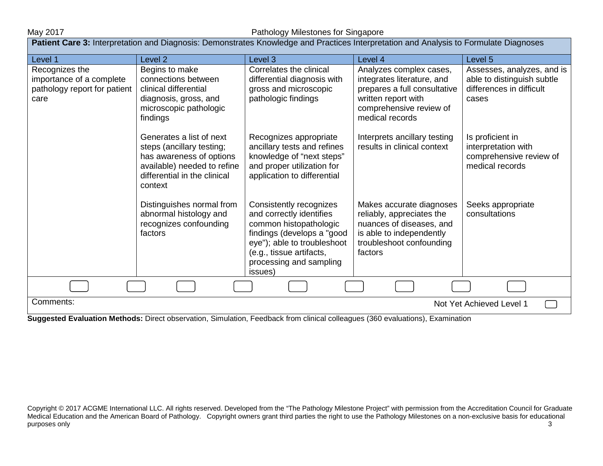| <b>Patient Care 3:</b> Interpretation and Diagnosis: Demonstrates Knowledge and Practices Interpretation and Analysis to Formulate Diagnoses |                                                                                                                                                             |                                                                                                                                                                                                              |                                                                                                                                                            |                                                                                               |  |  |
|----------------------------------------------------------------------------------------------------------------------------------------------|-------------------------------------------------------------------------------------------------------------------------------------------------------------|--------------------------------------------------------------------------------------------------------------------------------------------------------------------------------------------------------------|------------------------------------------------------------------------------------------------------------------------------------------------------------|-----------------------------------------------------------------------------------------------|--|--|
| Level 1                                                                                                                                      | Level <sub>2</sub>                                                                                                                                          | Level 3                                                                                                                                                                                                      | Level 4                                                                                                                                                    | Level 5                                                                                       |  |  |
| Recognizes the<br>importance of a complete<br>pathology report for patient<br>care                                                           | Begins to make<br>connections between<br>clinical differential<br>diagnosis, gross, and<br>microscopic pathologic<br>findings                               | Correlates the clinical<br>differential diagnosis with<br>gross and microscopic<br>pathologic findings                                                                                                       | Analyzes complex cases,<br>integrates literature, and<br>prepares a full consultative<br>written report with<br>comprehensive review of<br>medical records | Assesses, analyzes, and is<br>able to distinguish subtle<br>differences in difficult<br>cases |  |  |
|                                                                                                                                              | Generates a list of next<br>steps (ancillary testing;<br>has awareness of options<br>available) needed to refine<br>differential in the clinical<br>context | Recognizes appropriate<br>ancillary tests and refines<br>knowledge of "next steps"<br>and proper utilization for<br>application to differential                                                              | Interprets ancillary testing<br>results in clinical context                                                                                                | Is proficient in<br>interpretation with<br>comprehensive review of<br>medical records         |  |  |
|                                                                                                                                              | Distinguishes normal from<br>abnormal histology and<br>recognizes confounding<br>factors                                                                    | Consistently recognizes<br>and correctly identifies<br>common histopathologic<br>findings (develops a "good<br>eye"); able to troubleshoot<br>(e.g., tissue artifacts,<br>processing and sampling<br>issues) | Makes accurate diagnoses<br>reliably, appreciates the<br>nuances of diseases, and<br>is able to independently<br>troubleshoot confounding<br>factors       | Seeks appropriate<br>consultations                                                            |  |  |
|                                                                                                                                              |                                                                                                                                                             |                                                                                                                                                                                                              |                                                                                                                                                            |                                                                                               |  |  |
| Comments:<br>Not Yet Achieved Level 1                                                                                                        |                                                                                                                                                             |                                                                                                                                                                                                              |                                                                                                                                                            |                                                                                               |  |  |

**Suggested Evaluation Methods:** Direct observation, Simulation, Feedback from clinical colleagues (360 evaluations), Examination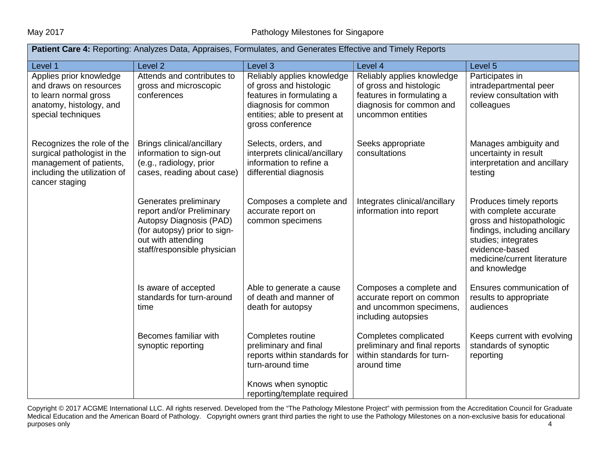| <b>Patient Care 4:</b> Reporting: Analyzes Data, Appraises, Formulates, and Generates Effective and Timely Reports                     |                                                                                                                                                                    |                                                                                                                                                                |                                                                                                                                     |                                                                                                                                                                                                          |  |  |
|----------------------------------------------------------------------------------------------------------------------------------------|--------------------------------------------------------------------------------------------------------------------------------------------------------------------|----------------------------------------------------------------------------------------------------------------------------------------------------------------|-------------------------------------------------------------------------------------------------------------------------------------|----------------------------------------------------------------------------------------------------------------------------------------------------------------------------------------------------------|--|--|
| Level 1                                                                                                                                | Level 2                                                                                                                                                            | Level 3                                                                                                                                                        | Level 4                                                                                                                             | Level 5                                                                                                                                                                                                  |  |  |
| Applies prior knowledge<br>and draws on resources<br>to learn normal gross<br>anatomy, histology, and<br>special techniques            | Attends and contributes to<br>gross and microscopic<br>conferences                                                                                                 | Reliably applies knowledge<br>of gross and histologic<br>features in formulating a<br>diagnosis for common<br>entities; able to present at<br>gross conference | Reliably applies knowledge<br>of gross and histologic<br>features in formulating a<br>diagnosis for common and<br>uncommon entities | Participates in<br>intradepartmental peer<br>review consultation with<br>colleagues                                                                                                                      |  |  |
| Recognizes the role of the<br>surgical pathologist in the<br>management of patients,<br>including the utilization of<br>cancer staging | Brings clinical/ancillary<br>information to sign-out<br>(e.g., radiology, prior<br>cases, reading about case)                                                      | Selects, orders, and<br>interprets clinical/ancillary<br>information to refine a<br>differential diagnosis                                                     | Seeks appropriate<br>consultations                                                                                                  | Manages ambiguity and<br>uncertainty in result<br>interpretation and ancillary<br>testing                                                                                                                |  |  |
|                                                                                                                                        | Generates preliminary<br>report and/or Preliminary<br>Autopsy Diagnosis (PAD)<br>(for autopsy) prior to sign-<br>out with attending<br>staff/responsible physician | Composes a complete and<br>accurate report on<br>common specimens                                                                                              | Integrates clinical/ancillary<br>information into report                                                                            | Produces timely reports<br>with complete accurate<br>gross and histopathologic<br>findings, including ancillary<br>studies; integrates<br>evidence-based<br>medicine/current literature<br>and knowledge |  |  |
|                                                                                                                                        | Is aware of accepted<br>standards for turn-around<br>time                                                                                                          | Able to generate a cause<br>of death and manner of<br>death for autopsy                                                                                        | Composes a complete and<br>accurate report on common<br>and uncommon specimens,<br>including autopsies                              | Ensures communication of<br>results to appropriate<br>audiences                                                                                                                                          |  |  |
|                                                                                                                                        | Becomes familiar with<br>synoptic reporting                                                                                                                        | Completes routine<br>preliminary and final<br>reports within standards for<br>turn-around time                                                                 | Completes complicated<br>preliminary and final reports<br>within standards for turn-<br>around time                                 | Keeps current with evolving<br>standards of synoptic<br>reporting                                                                                                                                        |  |  |
|                                                                                                                                        |                                                                                                                                                                    | Knows when synoptic<br>reporting/template required                                                                                                             |                                                                                                                                     |                                                                                                                                                                                                          |  |  |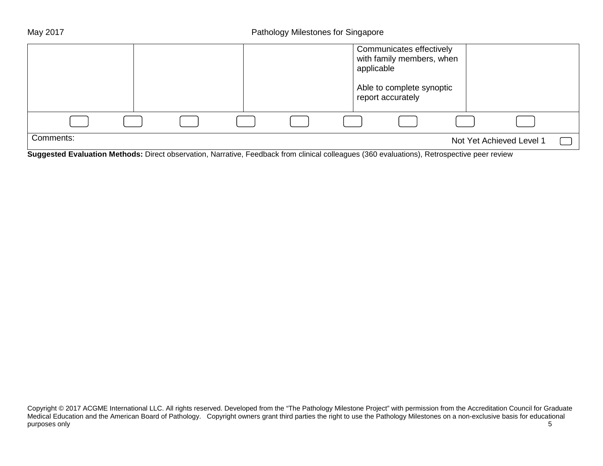|                                                                                                                             |  |  | applicable | Communicates effectively<br>with family members, when<br>Able to complete synoptic<br>report accurately |                          |  |
|-----------------------------------------------------------------------------------------------------------------------------|--|--|------------|---------------------------------------------------------------------------------------------------------|--------------------------|--|
|                                                                                                                             |  |  |            |                                                                                                         |                          |  |
| Comments:<br>According Follows Markette No. (1992) March C. France (C. 1993) Changes of MAA and about National Constitution |  |  |            |                                                                                                         | Not Yet Achieved Level 1 |  |

**Suggested Evaluation Methods:** Direct observation, Narrative, Feedback from clinical colleagues (360 evaluations), Retrospective peer review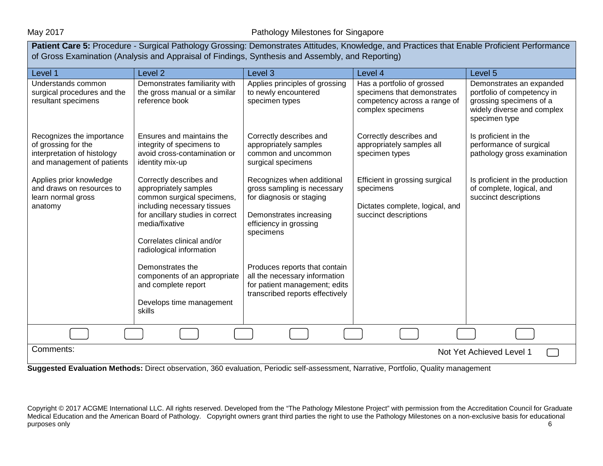Patient Care 5: Procedure - Surgical Pathology Grossing: Demonstrates Attitudes, Knowledge, and Practices that Enable Proficient Performance of Gross Examination (Analysis and Appraisal of Findings, Synthesis and Assembly, and Reporting) Level 1 Level 2 Level 3 Level 4 Level 5 Understands common surgical procedures and the resultant specimens Recognizes the importance of grossing for the interpretation of histology and management of patients Applies prior knowledge and draws on resources to learn normal gross anatomy Demonstrates familiarity with the gross manual or a similar reference book Ensures and maintains the integrity of specimens to avoid cross-contamination or identity mix-up Correctly describes and appropriately samples common surgical specimens, including necessary tissues for ancillary studies in correct media/fixative Correlates clinical and/or radiological information Demonstrates the components of an appropriate and complete report Develops time management skills Applies principles of grossing to newly encountered specimen types Correctly describes and appropriately samples common and uncommon surgical specimens Recognizes when additional gross sampling is necessary for diagnosis or staging Demonstrates increasing efficiency in grossing specimens Produces reports that contain all the necessary information for patient management; edits transcribed reports effectively Has a portfolio of grossed specimens that demonstrates competency across a range of complex specimens Correctly describes and appropriately samples all specimen types Efficient in grossing surgical specimens Dictates complete, logical, and succinct descriptions Demonstrates an expanded portfolio of competency in grossing specimens of a widely diverse and complex specimen type Is proficient in the performance of surgical pathology gross examination Is proficient in the production of complete, logical, and succinct descriptions Comments: Not Yet Achieved Level 1

**Suggested Evaluation Methods:** Direct observation, 360 evaluation, Periodic self-assessment, Narrative, Portfolio, Quality management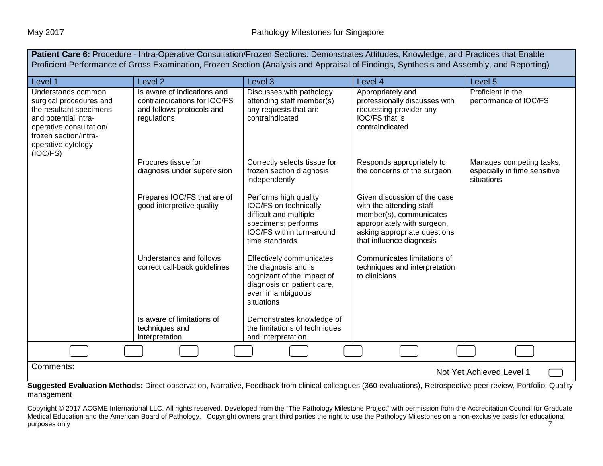| Patient Care 6: Procedure - Intra-Operative Consultation/Frozen Sections: Demonstrates Attitudes, Knowledge, and Practices that Enable<br>Proficient Performance of Gross Examination, Frozen Section (Analysis and Appraisal of Findings, Synthesis and Assembly, and Reporting) |                                                                                                         |                                                                                                                                                 |                                                                                                                                                                                |                                                                        |  |  |  |
|-----------------------------------------------------------------------------------------------------------------------------------------------------------------------------------------------------------------------------------------------------------------------------------|---------------------------------------------------------------------------------------------------------|-------------------------------------------------------------------------------------------------------------------------------------------------|--------------------------------------------------------------------------------------------------------------------------------------------------------------------------------|------------------------------------------------------------------------|--|--|--|
| Level 1                                                                                                                                                                                                                                                                           | Level <sub>2</sub>                                                                                      | Level <sub>3</sub>                                                                                                                              | Level 4                                                                                                                                                                        | Level 5                                                                |  |  |  |
| Understands common<br>surgical procedures and<br>the resultant specimens<br>and potential intra-<br>operative consultation/<br>frozen section/intra-<br>operative cytology<br>(IOC/FS)                                                                                            | Is aware of indications and<br>contraindications for IOC/FS<br>and follows protocols and<br>regulations | Discusses with pathology<br>attending staff member(s)<br>any requests that are<br>contraindicated                                               | Appropriately and<br>professionally discusses with<br>requesting provider any<br>IOC/FS that is<br>contraindicated                                                             | Proficient in the<br>performance of IOC/FS                             |  |  |  |
|                                                                                                                                                                                                                                                                                   | Procures tissue for<br>diagnosis under supervision                                                      | Correctly selects tissue for<br>frozen section diagnosis<br>independently                                                                       | Responds appropriately to<br>the concerns of the surgeon                                                                                                                       | Manages competing tasks,<br>especially in time sensitive<br>situations |  |  |  |
|                                                                                                                                                                                                                                                                                   | Prepares IOC/FS that are of<br>good interpretive quality                                                | Performs high quality<br>IOC/FS on technically<br>difficult and multiple<br>specimens; performs<br>IOC/FS within turn-around<br>time standards  | Given discussion of the case<br>with the attending staff<br>member(s), communicates<br>appropriately with surgeon,<br>asking appropriate questions<br>that influence diagnosis |                                                                        |  |  |  |
|                                                                                                                                                                                                                                                                                   | Understands and follows<br>correct call-back guidelines                                                 | Effectively communicates<br>the diagnosis and is<br>cognizant of the impact of<br>diagnosis on patient care,<br>even in ambiguous<br>situations | Communicates limitations of<br>techniques and interpretation<br>to clinicians                                                                                                  |                                                                        |  |  |  |
|                                                                                                                                                                                                                                                                                   | Is aware of limitations of<br>techniques and<br>interpretation                                          | Demonstrates knowledge of<br>the limitations of techniques<br>and interpretation                                                                |                                                                                                                                                                                |                                                                        |  |  |  |
|                                                                                                                                                                                                                                                                                   |                                                                                                         |                                                                                                                                                 |                                                                                                                                                                                |                                                                        |  |  |  |
|                                                                                                                                                                                                                                                                                   | Comments:<br>Not Yet Achieved Level 1                                                                   |                                                                                                                                                 |                                                                                                                                                                                |                                                                        |  |  |  |

**Suggested Evaluation Methods:** Direct observation, Narrative, Feedback from clinical colleagues (360 evaluations), Retrospective peer review, Portfolio, Quality management

Copyright © 2017 ACGME International LLC. All rights reserved. Developed from the "The Pathology Milestone Project" with permission from the Accreditation Council for Graduate Medical Education and the American Board of Pathology. Copyright owners grant third parties the right to use the Pathology Milestones on a non-exclusive basis for educational purposes only and the contract of the contract of the contract of the contract of the contract of the contract of the contract of the contract of the contract of the contract of the contract of the contract of the contract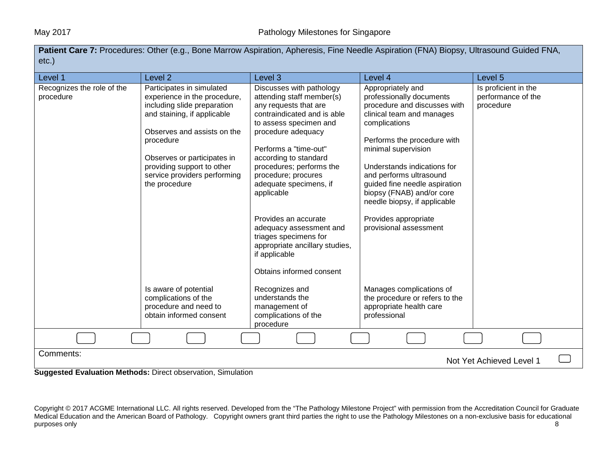Patient Care 7: Procedures: Other (e.g., Bone Marrow Aspiration, Apheresis, Fine Needle Aspiration (FNA) Biopsy, Ultrasound Guided FNA, etc.)

| Level 1                                 | Level <sub>2</sub>                                                                                                                                                                                                                                                                | Level 3                                                                                                                                                                                                                                                                                                    | Level 4                                                                                                                                                                                                                                                                                                                                   | Level 5                                                 |  |
|-----------------------------------------|-----------------------------------------------------------------------------------------------------------------------------------------------------------------------------------------------------------------------------------------------------------------------------------|------------------------------------------------------------------------------------------------------------------------------------------------------------------------------------------------------------------------------------------------------------------------------------------------------------|-------------------------------------------------------------------------------------------------------------------------------------------------------------------------------------------------------------------------------------------------------------------------------------------------------------------------------------------|---------------------------------------------------------|--|
| Recognizes the role of the<br>procedure | Participates in simulated<br>experience in the procedure,<br>including slide preparation<br>and staining, if applicable<br>Observes and assists on the<br>procedure<br>Observes or participates in<br>providing support to other<br>service providers performing<br>the procedure | Discusses with pathology<br>attending staff member(s)<br>any requests that are<br>contraindicated and is able<br>to assess specimen and<br>procedure adequacy<br>Performs a "time-out"<br>according to standard<br>procedures; performs the<br>procedure; procures<br>adequate specimens, if<br>applicable | Appropriately and<br>professionally documents<br>procedure and discusses with<br>clinical team and manages<br>complications<br>Performs the procedure with<br>minimal supervision<br>Understands indications for<br>and performs ultrasound<br>guided fine needle aspiration<br>biopsy (FNAB) and/or core<br>needle biopsy, if applicable | Is proficient in the<br>performance of the<br>procedure |  |
|                                         |                                                                                                                                                                                                                                                                                   | Provides an accurate<br>adequacy assessment and<br>triages specimens for<br>appropriate ancillary studies,<br>if applicable                                                                                                                                                                                | Provides appropriate<br>provisional assessment                                                                                                                                                                                                                                                                                            |                                                         |  |
|                                         |                                                                                                                                                                                                                                                                                   | Obtains informed consent                                                                                                                                                                                                                                                                                   |                                                                                                                                                                                                                                                                                                                                           |                                                         |  |
|                                         | Is aware of potential<br>complications of the<br>procedure and need to<br>obtain informed consent                                                                                                                                                                                 | Recognizes and<br>understands the<br>management of<br>complications of the<br>procedure                                                                                                                                                                                                                    | Manages complications of<br>the procedure or refers to the<br>appropriate health care<br>professional                                                                                                                                                                                                                                     |                                                         |  |
|                                         |                                                                                                                                                                                                                                                                                   |                                                                                                                                                                                                                                                                                                            |                                                                                                                                                                                                                                                                                                                                           |                                                         |  |
| Comments:<br>Not Yet Achieved Level 1   |                                                                                                                                                                                                                                                                                   |                                                                                                                                                                                                                                                                                                            |                                                                                                                                                                                                                                                                                                                                           |                                                         |  |

**Suggested Evaluation Methods:** Direct observation, Simulation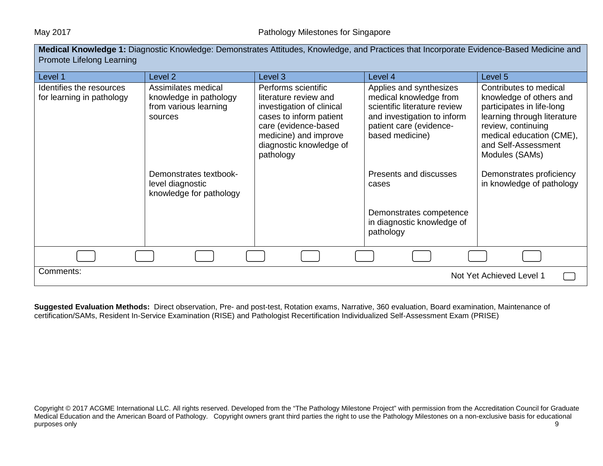| Medical Knowledge 1: Diagnostic Knowledge: Demonstrates Attitudes, Knowledge, and Practices that Incorporate Evidence-Based Medicine and<br>Promote Lifelong Learning |                                                                                   |                                                                                                                                                                                               |                                                                                                                                                                |                                                                                                                                                                                                          |  |  |
|-----------------------------------------------------------------------------------------------------------------------------------------------------------------------|-----------------------------------------------------------------------------------|-----------------------------------------------------------------------------------------------------------------------------------------------------------------------------------------------|----------------------------------------------------------------------------------------------------------------------------------------------------------------|----------------------------------------------------------------------------------------------------------------------------------------------------------------------------------------------------------|--|--|
| Level 1                                                                                                                                                               | Level <sub>2</sub>                                                                | Level 3                                                                                                                                                                                       | Level 4                                                                                                                                                        | Level 5                                                                                                                                                                                                  |  |  |
| Identifies the resources<br>for learning in pathology                                                                                                                 | Assimilates medical<br>knowledge in pathology<br>from various learning<br>sources | Performs scientific<br>literature review and<br>investigation of clinical<br>cases to inform patient<br>care (evidence-based<br>medicine) and improve<br>diagnostic knowledge of<br>pathology | Applies and synthesizes<br>medical knowledge from<br>scientific literature review<br>and investigation to inform<br>patient care (evidence-<br>based medicine) | Contributes to medical<br>knowledge of others and<br>participates in life-long<br>learning through literature<br>review, continuing<br>medical education (CME),<br>and Self-Assessment<br>Modules (SAMs) |  |  |
|                                                                                                                                                                       | Demonstrates textbook-<br>level diagnostic<br>knowledge for pathology             |                                                                                                                                                                                               | Presents and discusses<br>cases                                                                                                                                | Demonstrates proficiency<br>in knowledge of pathology                                                                                                                                                    |  |  |
|                                                                                                                                                                       |                                                                                   |                                                                                                                                                                                               | Demonstrates competence<br>in diagnostic knowledge of<br>pathology                                                                                             |                                                                                                                                                                                                          |  |  |
|                                                                                                                                                                       |                                                                                   |                                                                                                                                                                                               |                                                                                                                                                                |                                                                                                                                                                                                          |  |  |
| Comments:<br>Not Yet Achieved Level 1                                                                                                                                 |                                                                                   |                                                                                                                                                                                               |                                                                                                                                                                |                                                                                                                                                                                                          |  |  |

**Suggested Evaluation Methods:** Direct observation, Pre- and post-test, Rotation exams, Narrative, 360 evaluation, Board examination, Maintenance of certification/SAMs, Resident In-Service Examination (RISE) and Pathologist Recertification Individualized Self-Assessment Exam (PRISE)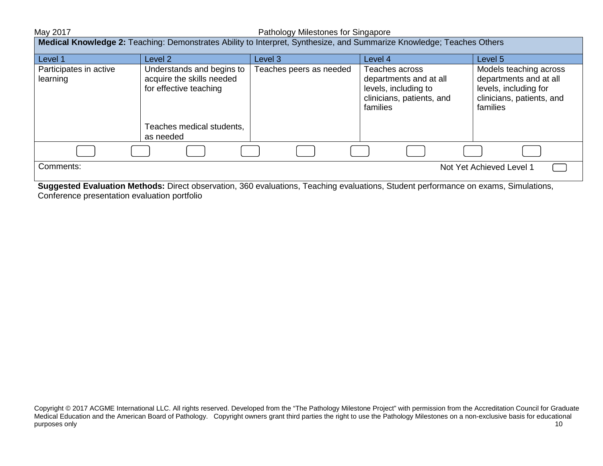| Medical Knowledge 2: Teaching: Demonstrates Ability to Interpret, Synthesize, and Summarize Knowledge; Teaches Others |                                                                                                               |                         |                                                                                                           |                                                                                                                    |  |
|-----------------------------------------------------------------------------------------------------------------------|---------------------------------------------------------------------------------------------------------------|-------------------------|-----------------------------------------------------------------------------------------------------------|--------------------------------------------------------------------------------------------------------------------|--|
| Level 1                                                                                                               | Level 2                                                                                                       | Level 3.                | Level 4                                                                                                   | Level 5                                                                                                            |  |
| Participates in active<br>learning                                                                                    | Understands and begins to<br>acquire the skills needed<br>for effective teaching<br>Teaches medical students, | Teaches peers as needed | Teaches across<br>departments and at all<br>levels, including to<br>clinicians, patients, and<br>families | Models teaching across<br>departments and at all<br>levels, including for<br>clinicians, patients, and<br>families |  |
|                                                                                                                       | as needed                                                                                                     |                         |                                                                                                           |                                                                                                                    |  |
|                                                                                                                       |                                                                                                               |                         |                                                                                                           |                                                                                                                    |  |
| Comments:                                                                                                             |                                                                                                               |                         |                                                                                                           | Not Yet Achieved Level 1                                                                                           |  |

**Suggested Evaluation Methods:** Direct observation, 360 evaluations, Teaching evaluations, Student performance on exams, Simulations, Conference presentation evaluation portfolio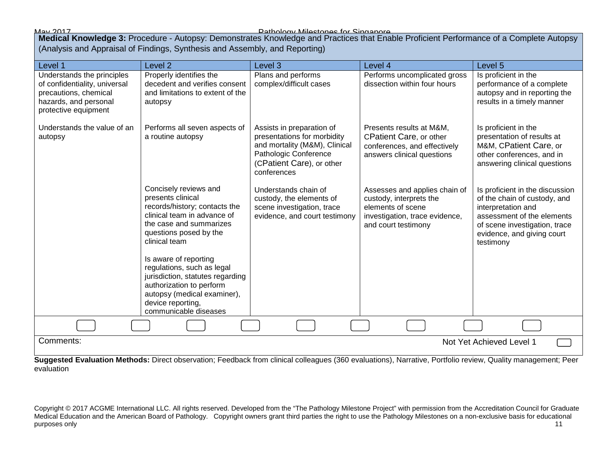May 2017 Pathology Milestones for Singapore **Medical Knowledge 3:** Procedure - Autopsy: Demonstrates Knowledge and Practices that Enable Proficient Performance of a Complete Autopsy (Analysis and Appraisal of Findings, Synthesis and Assembly, and Reporting)

| Level 1                                                                                                                               | Level <sub>2</sub>                                                                                                                                                                                                                      | Level 3                                                                                                                                                        | Level 4                                                                                                                                | Level 5                                                                                                                                                                                         |  |
|---------------------------------------------------------------------------------------------------------------------------------------|-----------------------------------------------------------------------------------------------------------------------------------------------------------------------------------------------------------------------------------------|----------------------------------------------------------------------------------------------------------------------------------------------------------------|----------------------------------------------------------------------------------------------------------------------------------------|-------------------------------------------------------------------------------------------------------------------------------------------------------------------------------------------------|--|
| Understands the principles<br>of confidentiality, universal<br>precautions, chemical<br>hazards, and personal<br>protective equipment | Properly identifies the<br>decedent and verifies consent<br>and limitations to extent of the<br>autopsy                                                                                                                                 | Plans and performs<br>complex/difficult cases                                                                                                                  | Performs uncomplicated gross<br>dissection within four hours                                                                           | Is proficient in the<br>performance of a complete<br>autopsy and in reporting the<br>results in a timely manner                                                                                 |  |
| Understands the value of an<br>autopsy                                                                                                | Performs all seven aspects of<br>a routine autopsy                                                                                                                                                                                      | Assists in preparation of<br>presentations for morbidity<br>and mortality (M&M), Clinical<br>Pathologic Conference<br>(CPatient Care), or other<br>conferences | Presents results at M&M,<br><b>CPatient Care, or other</b><br>conferences, and effectively<br>answers clinical questions               | Is proficient in the<br>presentation of results at<br>M&M, CPatient Care, or<br>other conferences, and in<br>answering clinical questions                                                       |  |
|                                                                                                                                       | Concisely reviews and<br>presents clinical<br>records/history; contacts the<br>clinical team in advance of<br>the case and summarizes<br>questions posed by the<br>clinical team<br>Is aware of reporting<br>regulations, such as legal | Understands chain of<br>custody, the elements of<br>scene investigation, trace<br>evidence, and court testimony                                                | Assesses and applies chain of<br>custody, interprets the<br>elements of scene<br>investigation, trace evidence,<br>and court testimony | Is proficient in the discussion<br>of the chain of custody, and<br>interpretation and<br>assessment of the elements<br>of scene investigation, trace<br>evidence, and giving court<br>testimony |  |
|                                                                                                                                       | jurisdiction, statutes regarding<br>authorization to perform<br>autopsy (medical examiner),<br>device reporting,<br>communicable diseases                                                                                               |                                                                                                                                                                |                                                                                                                                        |                                                                                                                                                                                                 |  |
|                                                                                                                                       |                                                                                                                                                                                                                                         |                                                                                                                                                                |                                                                                                                                        |                                                                                                                                                                                                 |  |
| Comments:<br>Not Yet Achieved Level 1                                                                                                 |                                                                                                                                                                                                                                         |                                                                                                                                                                |                                                                                                                                        |                                                                                                                                                                                                 |  |

**Suggested Evaluation Methods:** Direct observation; Feedback from clinical colleagues (360 evaluations), Narrative, Portfolio review, Quality management; Peer evaluation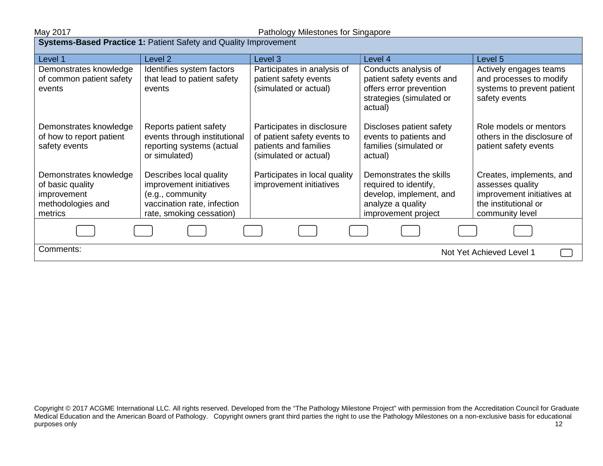**Systems-Based Practice 1: Patient Safety and Quality Improvement** 

| Level 1                         | Level 2                                            | Level 3                                                  | Level 4                                          | Level 5                                        |  |
|---------------------------------|----------------------------------------------------|----------------------------------------------------------|--------------------------------------------------|------------------------------------------------|--|
| Demonstrates knowledge          | Identifies system factors                          | Participates in analysis of                              | Conducts analysis of                             | Actively engages teams                         |  |
| of common patient safety        | that lead to patient safety                        | patient safety events                                    | patient safety events and                        | and processes to modify                        |  |
| events                          | events                                             | (simulated or actual)                                    | offers error prevention                          | systems to prevent patient                     |  |
|                                 |                                                    |                                                          | strategies (simulated or                         | safety events                                  |  |
|                                 |                                                    |                                                          | actual)                                          |                                                |  |
| Demonstrates knowledge          | Reports patient safety                             | Participates in disclosure                               | Discloses patient safety                         | Role models or mentors                         |  |
| of how to report patient        | events through institutional                       | of patient safety events to                              | events to patients and                           | others in the disclosure of                    |  |
| safety events                   | reporting systems (actual                          | patients and families                                    | families (simulated or                           | patient safety events                          |  |
|                                 | or simulated)                                      | (simulated or actual)                                    | actual)                                          |                                                |  |
|                                 |                                                    |                                                          |                                                  |                                                |  |
| Demonstrates knowledge          | Describes local quality<br>improvement initiatives | Participates in local quality<br>improvement initiatives | Demonstrates the skills                          | Creates, implements, and                       |  |
| of basic quality<br>improvement | (e.g., community                                   |                                                          | required to identify,<br>develop, implement, and | assesses quality<br>improvement initiatives at |  |
| methodologies and               | vaccination rate, infection                        |                                                          | analyze a quality                                | the institutional or                           |  |
| metrics                         | rate, smoking cessation)                           |                                                          | improvement project                              | community level                                |  |
|                                 |                                                    |                                                          |                                                  |                                                |  |
|                                 |                                                    |                                                          |                                                  |                                                |  |
| Comments:                       |                                                    |                                                          |                                                  | Not Yet Achieved Level 1                       |  |
|                                 |                                                    |                                                          |                                                  |                                                |  |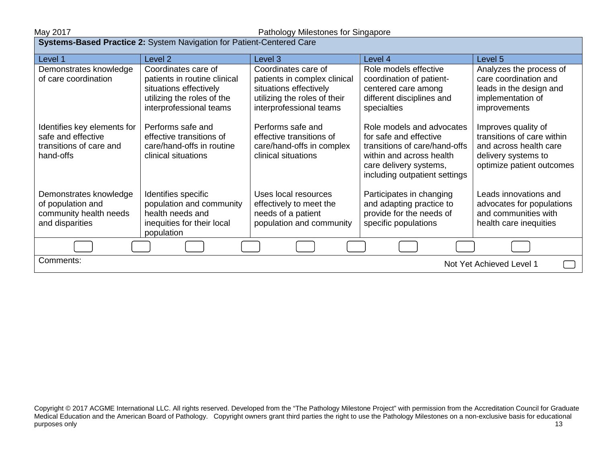| Systems-Based Practice 2: System Navigation for Patient-Centered Care                     |                                                                                                   |                                                                                                   |                                                                                                                                                                             |                                                                                                                                 |  |
|-------------------------------------------------------------------------------------------|---------------------------------------------------------------------------------------------------|---------------------------------------------------------------------------------------------------|-----------------------------------------------------------------------------------------------------------------------------------------------------------------------------|---------------------------------------------------------------------------------------------------------------------------------|--|
| Level 1                                                                                   | Level <sub>2</sub>                                                                                | Level 3                                                                                           | Level 4                                                                                                                                                                     | Level 5                                                                                                                         |  |
| Demonstrates knowledge<br>of care coordination                                            | Coordinates care of<br>patients in routine clinical                                               | Coordinates care of<br>patients in complex clinical                                               | Role models effective<br>coordination of patient-                                                                                                                           | Analyzes the process of<br>care coordination and                                                                                |  |
|                                                                                           | situations effectively                                                                            | situations effectively                                                                            | centered care among                                                                                                                                                         | leads in the design and                                                                                                         |  |
|                                                                                           | utilizing the roles of the                                                                        | utilizing the roles of their                                                                      | different disciplines and                                                                                                                                                   | implementation of                                                                                                               |  |
|                                                                                           | interprofessional teams                                                                           | interprofessional teams                                                                           | specialties                                                                                                                                                                 | improvements                                                                                                                    |  |
| Identifies key elements for<br>safe and effective<br>transitions of care and<br>hand-offs | Performs safe and<br>effective transitions of<br>care/hand-offs in routine<br>clinical situations | Performs safe and<br>effective transitions of<br>care/hand-offs in complex<br>clinical situations | Role models and advocates<br>for safe and effective<br>transitions of care/hand-offs<br>within and across health<br>care delivery systems,<br>including outpatient settings | Improves quality of<br>transitions of care within<br>and across health care<br>delivery systems to<br>optimize patient outcomes |  |
| Demonstrates knowledge                                                                    | Identifies specific                                                                               | Uses local resources                                                                              | Participates in changing                                                                                                                                                    | Leads innovations and                                                                                                           |  |
| of population and<br>community health needs                                               | population and community<br>health needs and                                                      | effectively to meet the<br>needs of a patient                                                     | and adapting practice to<br>provide for the needs of                                                                                                                        | advocates for populations<br>and communities with                                                                               |  |
| and disparities                                                                           | inequities for their local                                                                        | population and community                                                                          | specific populations                                                                                                                                                        | health care inequities                                                                                                          |  |
|                                                                                           | population                                                                                        |                                                                                                   |                                                                                                                                                                             |                                                                                                                                 |  |
|                                                                                           |                                                                                                   |                                                                                                   |                                                                                                                                                                             |                                                                                                                                 |  |
| Comments:<br>Not Yet Achieved Level 1                                                     |                                                                                                   |                                                                                                   |                                                                                                                                                                             |                                                                                                                                 |  |

Copyright © 2017 ACGME International LLC. All rights reserved. Developed from the "The Pathology Milestone Project" with permission from the Accreditation Council for Graduate Medical Education and the American Board of Pathology. Copyright owners grant third parties the right to use the Pathology Milestones on a non-exclusive basis for educational purposes only the contract of the contract of the contract of the contract of the contract of the contract of the contract of the contract of the contract of the contract of the contract of the contract of the contract of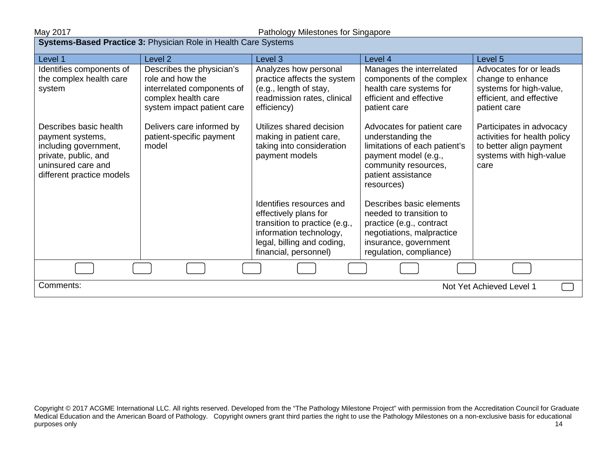| <b>Systems-Based Practice 3: Physician Role in Health Care Systems</b>                                                                         |                                                                                                                                  |                                                                                                                                                                      |                                                                                                                                                                      |                                                                                                                        |  |
|------------------------------------------------------------------------------------------------------------------------------------------------|----------------------------------------------------------------------------------------------------------------------------------|----------------------------------------------------------------------------------------------------------------------------------------------------------------------|----------------------------------------------------------------------------------------------------------------------------------------------------------------------|------------------------------------------------------------------------------------------------------------------------|--|
| Level 1                                                                                                                                        | Level 2                                                                                                                          | Level 3                                                                                                                                                              | Level 4                                                                                                                                                              | Level 5                                                                                                                |  |
| Identifies components of<br>the complex health care<br>system                                                                                  | Describes the physician's<br>role and how the<br>interrelated components of<br>complex health care<br>system impact patient care | Analyzes how personal<br>practice affects the system<br>(e.g., length of stay,<br>readmission rates, clinical<br>efficiency)                                         | Manages the interrelated<br>components of the complex<br>health care systems for<br>efficient and effective<br>patient care                                          | Advocates for or leads<br>change to enhance<br>systems for high-value,<br>efficient, and effective<br>patient care     |  |
| Describes basic health<br>payment systems,<br>including government,<br>private, public, and<br>uninsured care and<br>different practice models | Delivers care informed by<br>patient-specific payment<br>model                                                                   | Utilizes shared decision<br>making in patient care,<br>taking into consideration<br>payment models                                                                   | Advocates for patient care<br>understanding the<br>limitations of each patient's<br>payment model (e.g.,<br>community resources,<br>patient assistance<br>resources) | Participates in advocacy<br>activities for health policy<br>to better align payment<br>systems with high-value<br>care |  |
|                                                                                                                                                |                                                                                                                                  | Identifies resources and<br>effectively plans for<br>transition to practice (e.g.,<br>information technology,<br>legal, billing and coding,<br>financial, personnel) | Describes basic elements<br>needed to transition to<br>practice (e.g., contract<br>negotiations, malpractice<br>insurance, government<br>regulation, compliance)     |                                                                                                                        |  |
|                                                                                                                                                |                                                                                                                                  |                                                                                                                                                                      |                                                                                                                                                                      |                                                                                                                        |  |
| Comments:<br>Not Yet Achieved Level 1                                                                                                          |                                                                                                                                  |                                                                                                                                                                      |                                                                                                                                                                      |                                                                                                                        |  |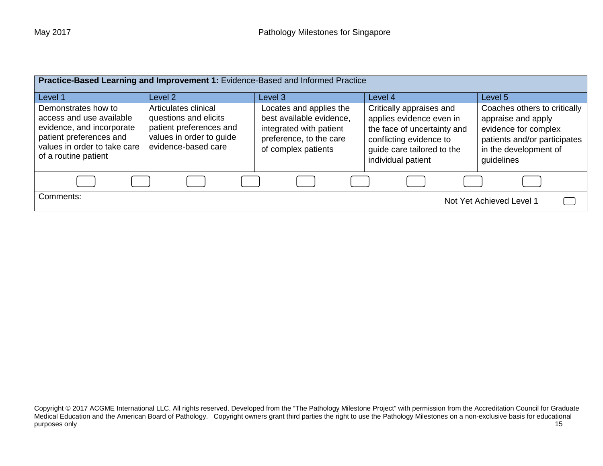| Practice-Based Learning and Improvement 1: Evidence-Based and Informed Practice                                                                                 |                                                                                                                             |                                                                                                                                  |                                                                                                                                                                    |                                                                                                                                                   |  |  |
|-----------------------------------------------------------------------------------------------------------------------------------------------------------------|-----------------------------------------------------------------------------------------------------------------------------|----------------------------------------------------------------------------------------------------------------------------------|--------------------------------------------------------------------------------------------------------------------------------------------------------------------|---------------------------------------------------------------------------------------------------------------------------------------------------|--|--|
| Level 1                                                                                                                                                         | Level <sub>2</sub>                                                                                                          | Level 3                                                                                                                          | Level 4                                                                                                                                                            | Level 5                                                                                                                                           |  |  |
| Demonstrates how to<br>access and use available<br>evidence, and incorporate<br>patient preferences and<br>values in order to take care<br>of a routine patient | Articulates clinical<br>questions and elicits<br>patient preferences and<br>values in order to guide<br>evidence-based care | Locates and applies the<br>best available evidence,<br>integrated with patient<br>preference, to the care<br>of complex patients | Critically appraises and<br>applies evidence even in<br>the face of uncertainty and<br>conflicting evidence to<br>guide care tailored to the<br>individual patient | Coaches others to critically<br>appraise and apply<br>evidence for complex<br>patients and/or participates<br>in the development of<br>guidelines |  |  |
|                                                                                                                                                                 |                                                                                                                             |                                                                                                                                  |                                                                                                                                                                    |                                                                                                                                                   |  |  |
| Comments:<br>Not Yet Achieved Level 1                                                                                                                           |                                                                                                                             |                                                                                                                                  |                                                                                                                                                                    |                                                                                                                                                   |  |  |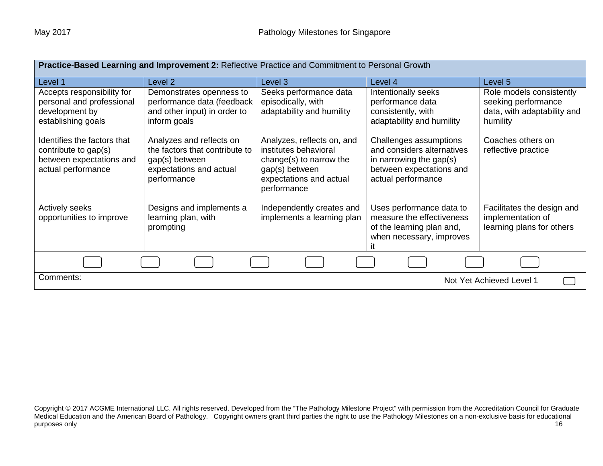| Practice-Based Learning and Improvement 2: Reflective Practice and Commitment to Personal Growth      |                                                                                                                        |                                                                                                                                            |                                                                                                                                   |                                                                                            |  |
|-------------------------------------------------------------------------------------------------------|------------------------------------------------------------------------------------------------------------------------|--------------------------------------------------------------------------------------------------------------------------------------------|-----------------------------------------------------------------------------------------------------------------------------------|--------------------------------------------------------------------------------------------|--|
| Level 1                                                                                               | Level 2                                                                                                                | Level 3                                                                                                                                    | Level 4                                                                                                                           | Level 5                                                                                    |  |
| Accepts responsibility for<br>personal and professional<br>development by<br>establishing goals       | Demonstrates openness to<br>performance data (feedback<br>and other input) in order to<br>inform goals                 | Seeks performance data<br>episodically, with<br>adaptability and humility                                                                  | Intentionally seeks<br>performance data<br>consistently, with<br>adaptability and humility                                        | Role models consistently<br>seeking performance<br>data, with adaptability and<br>humility |  |
| Identifies the factors that<br>contribute to gap(s)<br>between expectations and<br>actual performance | Analyzes and reflects on<br>the factors that contribute to<br>gap(s) between<br>expectations and actual<br>performance | Analyzes, reflects on, and<br>institutes behavioral<br>change(s) to narrow the<br>gap(s) between<br>expectations and actual<br>performance | Challenges assumptions<br>and considers alternatives<br>in narrowing the gap(s)<br>between expectations and<br>actual performance | Coaches others on<br>reflective practice                                                   |  |
| <b>Actively seeks</b><br>opportunities to improve                                                     | Designs and implements a<br>learning plan, with<br>prompting                                                           | Independently creates and<br>implements a learning plan                                                                                    | Uses performance data to<br>measure the effectiveness<br>of the learning plan and,<br>when necessary, improves                    | Facilitates the design and<br>implementation of<br>learning plans for others               |  |
|                                                                                                       |                                                                                                                        |                                                                                                                                            |                                                                                                                                   |                                                                                            |  |
| Comments:<br>Not Yet Achieved Level 1                                                                 |                                                                                                                        |                                                                                                                                            |                                                                                                                                   |                                                                                            |  |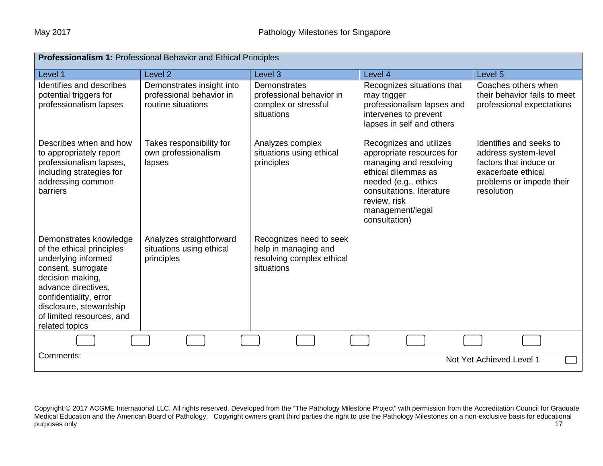| <b>Professionalism 1: Professional Behavior and Ethical Principles</b>                                                                                                                                                                          |                                                                             |                                                                                            |                                                                                                                                                                                                                 |                                                                                                                                           |  |
|-------------------------------------------------------------------------------------------------------------------------------------------------------------------------------------------------------------------------------------------------|-----------------------------------------------------------------------------|--------------------------------------------------------------------------------------------|-----------------------------------------------------------------------------------------------------------------------------------------------------------------------------------------------------------------|-------------------------------------------------------------------------------------------------------------------------------------------|--|
| Level 1                                                                                                                                                                                                                                         | Level <sub>2</sub>                                                          | Level 3                                                                                    | Level 4                                                                                                                                                                                                         | Level 5                                                                                                                                   |  |
| Identifies and describes<br>potential triggers for<br>professionalism lapses                                                                                                                                                                    | Demonstrates insight into<br>professional behavior in<br>routine situations | Demonstrates<br>professional behavior in<br>complex or stressful<br>situations             | Recognizes situations that<br>may trigger<br>professionalism lapses and<br>intervenes to prevent<br>lapses in self and others                                                                                   | Coaches others when<br>their behavior fails to meet<br>professional expectations                                                          |  |
| Describes when and how<br>to appropriately report<br>professionalism lapses,<br>including strategies for<br>addressing common<br>barriers                                                                                                       | Takes responsibility for<br>own professionalism<br>lapses                   | Analyzes complex<br>situations using ethical<br>principles                                 | Recognizes and utilizes<br>appropriate resources for<br>managing and resolving<br>ethical dilemmas as<br>needed (e.g., ethics<br>consultations, literature<br>review, risk<br>management/legal<br>consultation) | Identifies and seeks to<br>address system-level<br>factors that induce or<br>exacerbate ethical<br>problems or impede their<br>resolution |  |
| Demonstrates knowledge<br>of the ethical principles<br>underlying informed<br>consent, surrogate<br>decision making,<br>advance directives.<br>confidentiality, error<br>disclosure, stewardship<br>of limited resources, and<br>related topics | Analyzes straightforward<br>situations using ethical<br>principles          | Recognizes need to seek<br>help in managing and<br>resolving complex ethical<br>situations |                                                                                                                                                                                                                 |                                                                                                                                           |  |
|                                                                                                                                                                                                                                                 |                                                                             |                                                                                            |                                                                                                                                                                                                                 |                                                                                                                                           |  |
| Comments:<br>Not Yet Achieved Level 1                                                                                                                                                                                                           |                                                                             |                                                                                            |                                                                                                                                                                                                                 |                                                                                                                                           |  |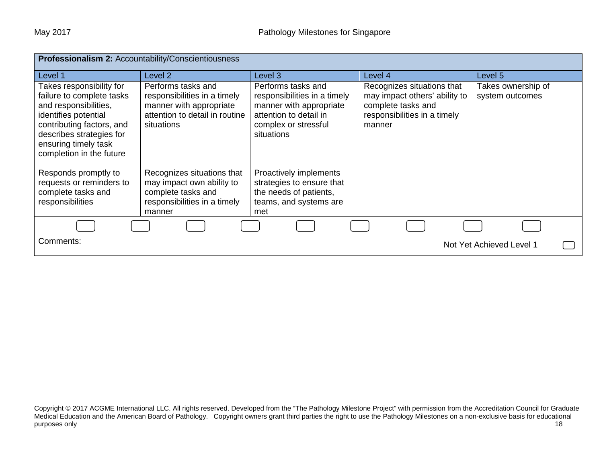| Professionalism 2: Accountability/Conscientiousness                                                                                                                                                                 |                                                                                                                               |                                                                                                                                               |                                                                                                                             |                                       |  |  |
|---------------------------------------------------------------------------------------------------------------------------------------------------------------------------------------------------------------------|-------------------------------------------------------------------------------------------------------------------------------|-----------------------------------------------------------------------------------------------------------------------------------------------|-----------------------------------------------------------------------------------------------------------------------------|---------------------------------------|--|--|
| Level 1                                                                                                                                                                                                             | Level 2                                                                                                                       | Level 3                                                                                                                                       | Level 4                                                                                                                     | Level 5                               |  |  |
| Takes responsibility for<br>failure to complete tasks<br>and responsibilities,<br>identifies potential<br>contributing factors, and<br>describes strategies for<br>ensuring timely task<br>completion in the future | Performs tasks and<br>responsibilities in a timely<br>manner with appropriate<br>attention to detail in routine<br>situations | Performs tasks and<br>responsibilities in a timely<br>manner with appropriate<br>attention to detail in<br>complex or stressful<br>situations | Recognizes situations that<br>may impact others' ability to<br>complete tasks and<br>responsibilities in a timely<br>manner | Takes ownership of<br>system outcomes |  |  |
| Responds promptly to<br>requests or reminders to<br>complete tasks and<br>responsibilities                                                                                                                          | Recognizes situations that<br>may impact own ability to<br>complete tasks and<br>responsibilities in a timely<br>manner       | Proactively implements<br>strategies to ensure that<br>the needs of patients,<br>teams, and systems are<br>met                                |                                                                                                                             |                                       |  |  |
|                                                                                                                                                                                                                     |                                                                                                                               |                                                                                                                                               |                                                                                                                             |                                       |  |  |
| Comments:                                                                                                                                                                                                           |                                                                                                                               |                                                                                                                                               |                                                                                                                             | Not Yet Achieved Level 1              |  |  |

Copyright © 2017 ACGME International LLC. All rights reserved. Developed from the "The Pathology Milestone Project" with permission from the Accreditation Council for Graduate Medical Education and the American Board of Pathology. Copyright owners grant third parties the right to use the Pathology Milestones on a non-exclusive basis for educational purposes only and the control of the control of the control of the control of the control of the control of the control of the control of the control of the control of the control of the control of the control of the contr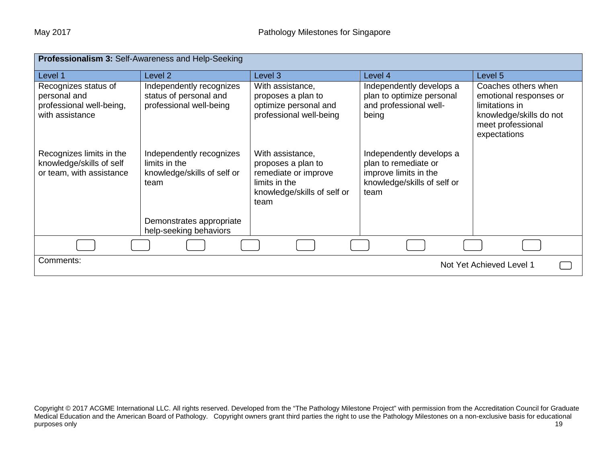| Professionalism 3: Self-Awareness and Help-Seeking                                  |                                                                                  |                                                                                                                        |                                                                                                                  |                                                                                                                                 |  |  |
|-------------------------------------------------------------------------------------|----------------------------------------------------------------------------------|------------------------------------------------------------------------------------------------------------------------|------------------------------------------------------------------------------------------------------------------|---------------------------------------------------------------------------------------------------------------------------------|--|--|
| Level 1                                                                             | Level 2                                                                          | Level 3                                                                                                                | Level 4                                                                                                          | Level 5                                                                                                                         |  |  |
| Recognizes status of<br>personal and<br>professional well-being,<br>with assistance | Independently recognizes<br>status of personal and<br>professional well-being    | With assistance,<br>proposes a plan to<br>optimize personal and<br>professional well-being                             | Independently develops a<br>plan to optimize personal<br>and professional well-<br>being                         | Coaches others when<br>emotional responses or<br>limitations in<br>knowledge/skills do not<br>meet professional<br>expectations |  |  |
| Recognizes limits in the<br>knowledge/skills of self<br>or team, with assistance    | Independently recognizes<br>limits in the<br>knowledge/skills of self or<br>team | With assistance,<br>proposes a plan to<br>remediate or improve<br>limits in the<br>knowledge/skills of self or<br>team | Independently develops a<br>plan to remediate or<br>improve limits in the<br>knowledge/skills of self or<br>team |                                                                                                                                 |  |  |
|                                                                                     | Demonstrates appropriate<br>help-seeking behaviors                               |                                                                                                                        |                                                                                                                  |                                                                                                                                 |  |  |
|                                                                                     |                                                                                  |                                                                                                                        |                                                                                                                  |                                                                                                                                 |  |  |
| Comments:                                                                           |                                                                                  |                                                                                                                        |                                                                                                                  | Not Yet Achieved Level 1                                                                                                        |  |  |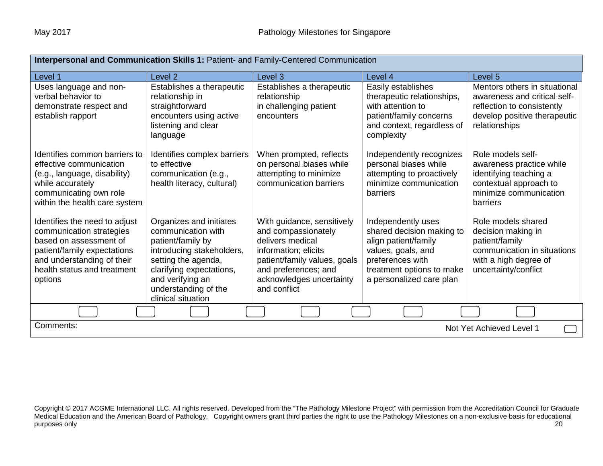| Interpersonal and Communication Skills 1: Patient- and Family-Centered Communication                                                                                                       |                                                                                                                                                                                                                      |                                                                                                                                                                                                   |                                                                                                                                                                            |                                                                                                                                              |  |
|--------------------------------------------------------------------------------------------------------------------------------------------------------------------------------------------|----------------------------------------------------------------------------------------------------------------------------------------------------------------------------------------------------------------------|---------------------------------------------------------------------------------------------------------------------------------------------------------------------------------------------------|----------------------------------------------------------------------------------------------------------------------------------------------------------------------------|----------------------------------------------------------------------------------------------------------------------------------------------|--|
| Level 1                                                                                                                                                                                    | Level <sub>2</sub>                                                                                                                                                                                                   | Level <sub>3</sub>                                                                                                                                                                                | Level 4                                                                                                                                                                    | Level 5                                                                                                                                      |  |
| Uses language and non-<br>verbal behavior to<br>demonstrate respect and<br>establish rapport                                                                                               | Establishes a therapeutic<br>relationship in<br>straightforward<br>encounters using active<br>listening and clear<br>language                                                                                        | Establishes a therapeutic<br>relationship<br>in challenging patient<br>encounters                                                                                                                 | Easily establishes<br>therapeutic relationships,<br>with attention to<br>patient/family concerns<br>and context, regardless of<br>complexity                               | Mentors others in situational<br>awareness and critical self-<br>reflection to consistently<br>develop positive therapeutic<br>relationships |  |
| Identifies common barriers to<br>effective communication<br>(e.g., language, disability)<br>while accurately<br>communicating own role<br>within the health care system                    | Identifies complex barriers<br>to effective<br>communication (e.g.,<br>health literacy, cultural)                                                                                                                    | When prompted, reflects<br>on personal biases while<br>attempting to minimize<br>communication barriers                                                                                           | Independently recognizes<br>personal biases while<br>attempting to proactively<br>minimize communication<br>barriers                                                       | Role models self-<br>awareness practice while<br>identifying teaching a<br>contextual approach to<br>minimize communication<br>barriers      |  |
| Identifies the need to adjust<br>communication strategies<br>based on assessment of<br>patient/family expectations<br>and understanding of their<br>health status and treatment<br>options | Organizes and initiates<br>communication with<br>patient/family by<br>introducing stakeholders,<br>setting the agenda,<br>clarifying expectations,<br>and verifying an<br>understanding of the<br>clinical situation | With guidance, sensitively<br>and compassionately<br>delivers medical<br>information; elicits<br>patient/family values, goals<br>and preferences; and<br>acknowledges uncertainty<br>and conflict | Independently uses<br>shared decision making to<br>align patient/family<br>values, goals, and<br>preferences with<br>treatment options to make<br>a personalized care plan | Role models shared<br>decision making in<br>patient/family<br>communication in situations<br>with a high degree of<br>uncertainty/conflict   |  |
|                                                                                                                                                                                            |                                                                                                                                                                                                                      |                                                                                                                                                                                                   |                                                                                                                                                                            |                                                                                                                                              |  |
| Comments:<br>Not Yet Achieved Level 1                                                                                                                                                      |                                                                                                                                                                                                                      |                                                                                                                                                                                                   |                                                                                                                                                                            |                                                                                                                                              |  |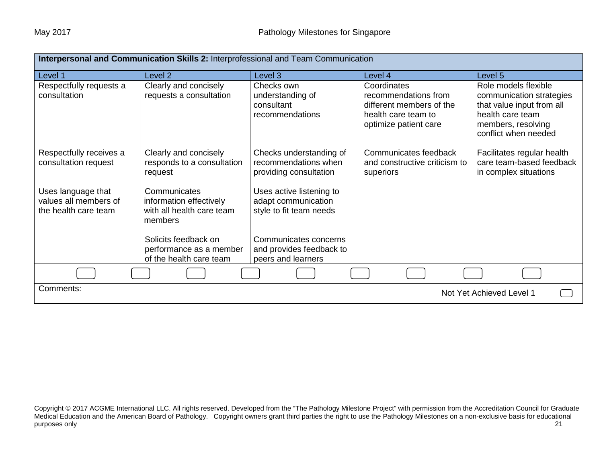| Interpersonal and Communication Skills 2: Interprofessional and Team Communication |                                                                                 |                                                                            |                                                                                                                 |                                                                                                                                                 |  |
|------------------------------------------------------------------------------------|---------------------------------------------------------------------------------|----------------------------------------------------------------------------|-----------------------------------------------------------------------------------------------------------------|-------------------------------------------------------------------------------------------------------------------------------------------------|--|
| Level 1                                                                            | Level <sub>2</sub>                                                              | Level 3                                                                    | Level 4                                                                                                         | Level 5                                                                                                                                         |  |
| Respectfully requests a<br>consultation                                            | Clearly and concisely<br>requests a consultation                                | Checks own<br>understanding of<br>consultant<br>recommendations            | Coordinates<br>recommendations from<br>different members of the<br>health care team to<br>optimize patient care | Role models flexible<br>communication strategies<br>that value input from all<br>health care team<br>members, resolving<br>conflict when needed |  |
| Respectfully receives a<br>consultation request                                    | Clearly and concisely<br>responds to a consultation<br>request                  | Checks understanding of<br>recommendations when<br>providing consultation  | Communicates feedback<br>and constructive criticism to<br>superiors                                             | Facilitates regular health<br>care team-based feedback<br>in complex situations                                                                 |  |
| Uses language that<br>values all members of<br>the health care team                | Communicates<br>information effectively<br>with all health care team<br>members | Uses active listening to<br>adapt communication<br>style to fit team needs |                                                                                                                 |                                                                                                                                                 |  |
|                                                                                    | Solicits feedback on<br>performance as a member<br>of the health care team      | Communicates concerns<br>and provides feedback to<br>peers and learners    |                                                                                                                 |                                                                                                                                                 |  |
|                                                                                    |                                                                                 |                                                                            |                                                                                                                 |                                                                                                                                                 |  |
| Comments:<br>Not Yet Achieved Level 1                                              |                                                                                 |                                                                            |                                                                                                                 |                                                                                                                                                 |  |